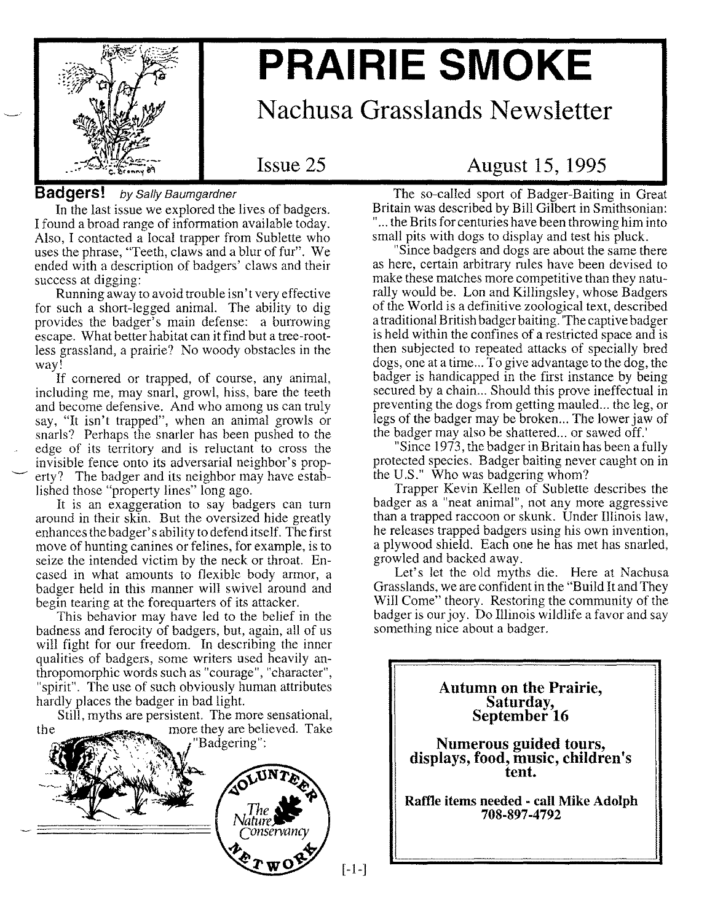

# **PRAIRIE SMOKE**

**Nachusa Grasslands Newsletter**

Issue 25

#### **Badgers!** *by Sally Baumgardner*

In the last issue we explored the lives of badgers. I found a broad range of information available today. Also, I contacted a local trapper from Sublette who uses the phrase, "Teeth, claws and a blur of fur". We ended with a description of badgers' claws and their success at digging:

Running away to avoid trouble isn't very effective for such a short-legged animal. The ability to dig provides the badger's main defense: a burrowing escape. What better habitat can it find but a tree-rootless grassland, a prairie? No woody obstacles in the way!

If cornered or trapped, of course, any animal, including me, may snarl, growl, hiss, bare the teeth and become defensive. And who among us can truly say, "It isn't trapped", when an animal growls or snarls? Perhaps the snarler has been pushed to the edge of its territory and is reluctant to cross the invisible fence onto its adversarial neighbor's property? The badger and its neighbor may have established those "property lines" long ago.

It is an exaggeration to say badgers can turn around in their skin. But the oversized hide greatly enhances the badger's ability to defend itself. The first move of hunting canines or felines, for example, is to seize the intended victim by the neck or throat. Encased in what amounts to flexible body armor, a badger held in this manner will swivel around and begin tearing at the forequarters of its attacker.

This behavior may have led to the belief in the badness and ferocity of badgers, but, again, all of us will fight for our freedom. In describing the inner qualities of badgers, some writers used heavily anthropomorphic words such as "courage", "character", "spirit". The use of such obviously human attributes hardly places the badger in bad light.

Still, myths are persistent. The more sensational, the more they are believed. Take



[-1-]

### **August 15, 1995**

The so-called sport of Badger-Baiting in Great Britain was described by Bill Gilbert in Smithsonian: "... the Brits for centuries have been throwing him into small pits with dogs to display and test his pluck.

"Since badgers and dogs are about the same there as here, certain arbitrary rules have been devised to make these matches more competitive than they naturally would be. Lon and Killingsley, whose Badgers of the World is a definitive zoological text, described a traditional British badger baiting. 'The captive badger is held within the confines of a restricted space and is then subjected to repeated attacks of specially bred dogs, one at a time... To give advantage to the dog, the badger is handicapped in the first instance by being secured by a chain... Should this prove ineffectual in preventing the dogs from getting mauled... the leg, or legs of the badger may be broken... The lower jaw of the badger may also be shattered... or sawed off.'

"Since 1973, the badger in Britain has been a fully protected species. Badger baiting never caught on in the U.S." Who was badgering whom?

Trapper Kevin Kellen of Sublette describes the badger as a "neat animal", not any more aggressive than a trapped raccoon or skunk. Under Illinois law, he releases trapped badgers using his own invention, a plywood shield. Each one he has met has snarled, growled and backed away.

Let's let the old myths die. Here at Nachusa Grasslands, we are confident in the "Build It and They Will Come" theory. Restoring the community of the badger is our joy. Do Illinois wildlife a favor and say something nice about a badger.

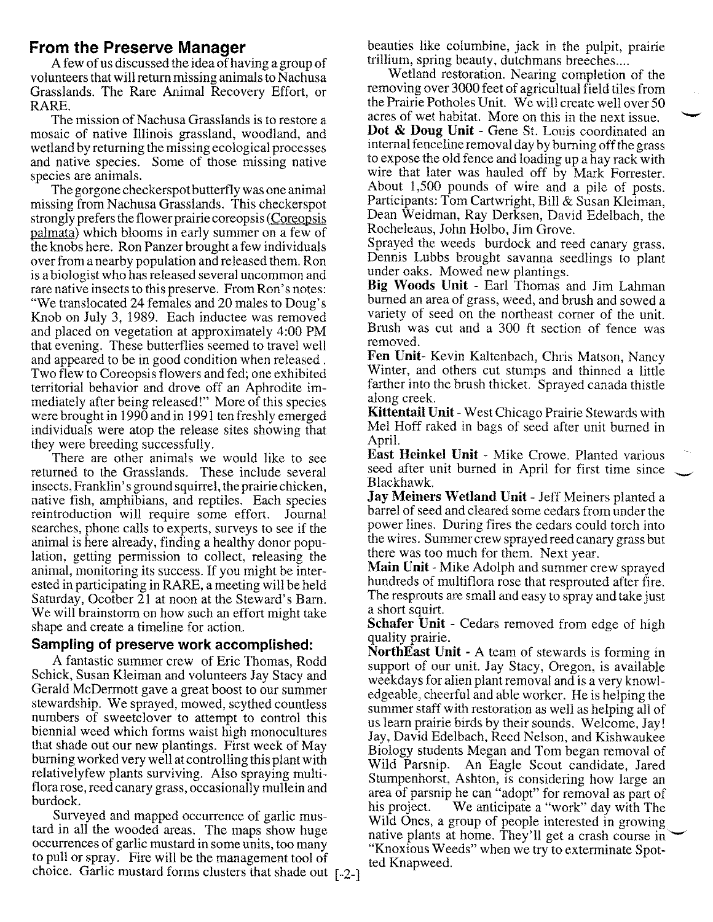#### **From the Preserve Manager**

A few of us discussed the idea of having a group of volunteers that will return missing animals to Nachusa Grasslands. The Rare Animal Recovery Effort, or RARE.

The mission of Nachusa Grasslands is to restore a mosaic of native Illinois grassland, woodland, and wetland by returning the missing ecological processes and native species. Some of those missing native species are animals.

The gorgone checkerspot butterfly was one animal missing from Nachusa Grasslands. This checkerspot strongly prefers the flower prairie coreopsis (Coreopsis palmata) which blooms in early summer on a few of the knobs here. Ron Panzer brought a few individuals over from a nearby population and released them. Ron is a biologist who has released several uncommon and rare native insects to this preserve. From Ron's notes: "We translocated 24 females and 20 males to Doug's Knob on July 3, 1989. Each inductee was removed and placed on vegetation at approximately 4:00 PM that evening. These butterflies seemed to travel well and appeared to be in good condition when released. Two flew to Coreopsis flowers and fed; one exhibited territorial behavior and drove off an Aphrodite immediately after being released!" More of this species were brought in 1990 and in 1991 ten freshly emerged individuals were atop the release sites showing that they were breeding successfully.

There are other animals we would like to see returned to the Grasslands. These include several insects, Franklin's ground squirrel, the prairie chicken, native fish, amphibians, and reptiles. Each species reintroduction will require some effort. Journal searches, phone calls to experts, surveys to see if the animal is here already, finding a healthy donor population, getting permission to collect, releasing the animal, monitoring its success. If you might be interested in participating in RARE, a meeting will be held Saturday, Ocotber 21 at noon at the Steward's Barn. We will brainstorm on how such an effort might take shape and create a timeline for action.

#### **Sampling of preserve work accomplished:**

A fantastic summer crew of Eric Thomas, Rodd Schick, Susan Kleiman and volunteers Jay Stacy and Gerald McDermott gave a great boost to our summer stewardship. We sprayed, mowed, scythed countless numbers of sweetclover to attempt to control this biennial weed which forms waist high monocultures that shade out our new plantings. First week of May burning worked very well at controlling this plant with relativelyfew plants surviving. Also spraying multiflora rose, reed canary grass, occasionally mullein and burdock.

Surveyed and mapped occurrence of garlic mustard in all the wooded areas. The maps show huge occurrences of garlic mustard in some units, too many to pull or spray. Fire will be the management tool of choice. Garlic mustard forms clusters that shade out [-2-]

beauties like columbine, jack in the pulpit, prairie trillium, spring beauty, dutchmans breeches ....

Wetland restoration. Nearing completion of the removing over 3000 feet of agricultual field tiles from the Prairie Potholes Unit. We will create well over 50 acres of wet habitat. More on this in the next issue. **Dot & Doug Unit -** Gene St. Louis coordinated an internal fenceline removal day by burning offthe grass to expose the old fence and loading up a hay rack with wire that later was hauled off by Mark Forrester. About  $1,500$  pounds of wire and a pile of posts. Participants: Tom Cartwright, Bill & Susan Kleiman, Dean Weidman, Ray Derksen, David Edelbach, the Rocheleaus, John Holbo, Jim Grove.

Sprayed the weeds burdock and reed canary grass. Dennis Lubbs brought savanna seedlings to plant under oaks. Mowed new plantings.

**Big Woods Unit -** Earl Thomas and Jim Lahman burned an area of grass, weed, and brush and sowed a variety of seed on the northeast corner of the unit. Brush was cut and a 300 ft section of fence was removed.

Fen Unit- Kevin Kaltenbach, Chris Matson, Nancy Wmter, and others cut stumps and thinned a little farther into the brush thicket. Sprayed canada thistle along creek.

**Kittentail Unit -** West Chicago Prairie Stewards with Mel Hoff raked in bags of seed after unit burned in April.

**East Heinkel Unit -** Mike Crowe. Planted various seed after unit burned in April for first time since Blackhawk.

**Jay Meiners Wetland Unit -** Jeff Meiners planted a barrel of seed and cleared some cedars from under the power lines. During fires the cedars could torch into the wires. Summer crew sprayed reed canary grass but there was too much for them. Next year.

**Main Unit** - Mike Adolph and summer crew sprayed hundreds of multiflora rose that resprouted after fire. The resprouts are small and easy to spray and take just a short squirt.

Schafer Unit - Cedars removed from edge of high quality prairie.

**NorthEast Unit -.**A team of stewards is forming in support of our unit. Jay Stacy, Oregon, is available weekdays for alien plant removal and is a very knowledgeable, cheerful and able worker. He is helping the summer staff with restoration as well as helping all of us learn prairie birds by their sounds. Welcome, Jay! Jay, DaVId Edelbach, Reed Nelson, and Kishwaukee Biology students Megan and Tom began removal of Wild Parsnip. An Eagle Scout candidate, Jared Stumpenhorst, Ashton, is considering how large an area of parsnip he can "adopt" for removal as part of his project. We anticipate a "work" day with The Wild Ones, a group of people interested in growing native plants at home. They'll get a crash course in "Knoxious Weeds" when we try to exterminate Spotted Knapweed.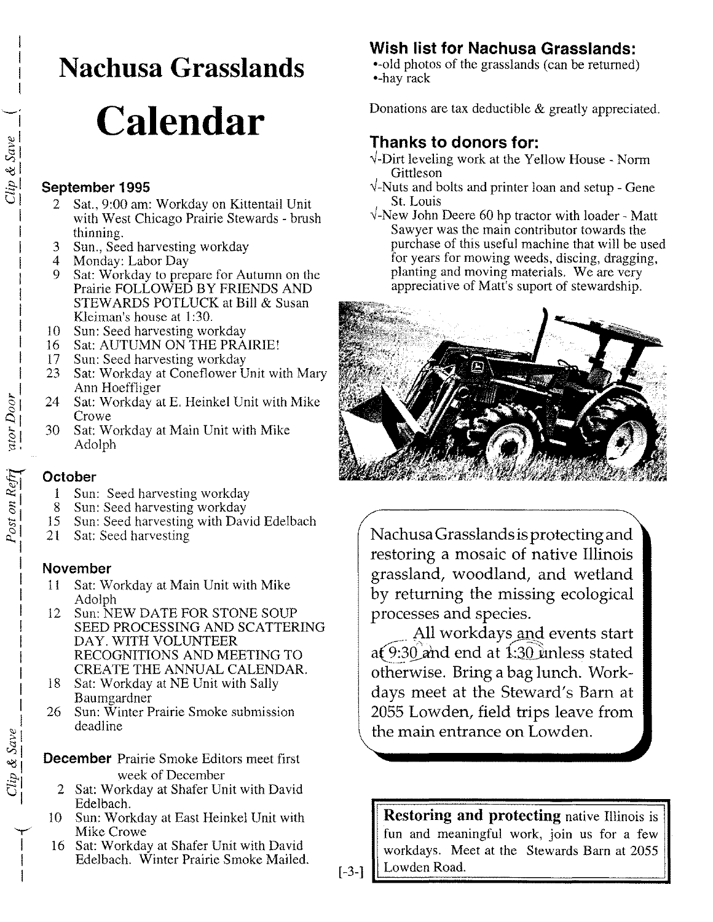# **Nachusa Grasslands**

# **Calendar**

#### **September 1995**

- 2 Sat., 9:00 am: Workday on Kittentail Unit with West Chicago Prairie Stewards - brush thinning.
- 3 Sun., Seed harvesting workday<br>4 Monday: Labor Day
- 4 Monday: Labor Day<br>9 Sat: Workday to pres
- Sat: Workday to prepare for Autumn on the Prairie FOLLOWED BY FRIENDS AND STEWARDS POTLUCK at Bill & Susan Kleiman's house at 1:30.
- 10 Sun: Seed harvesting workday
- 16 Sat: AUTUMN ON THE PRAIRIE!
- 17 Sun: Seed harvesting workday
- 23 Sat: Workday at Coneflower Unit with Mary Ann Hoeffliger
- 24 Sat: Workday at E. Heinkel Unit with Mike Crowe
- 30 Sat: Workday at Main Unit with Mike Adolph

#### **October**

- 1 Sun: Seed harvesting workday
- 8 Sun: Seed harvesting workday
- 15 Sun: Seed harvesting with David Edelbach
- 21 Sat: Seed harvesting

#### **November**

- 11 Sat: Workday at Main Unit with Mike Adolph
- 12 Sun: NEW DATE FOR STONE SOUP SEED PROCESSING AND SCATTERING DAY. WITH VOLUNTEER RECOGNITIONS AND MEETING TO CREATE THE ANNUAL CALENDAR.
- 18 Sat: Workday at NE Unit with Sally Baumgardner
- 26 Sun: Winter Prairie Smoke submission deadline
- **December** Prairie Smoke Editors meet first week of December
	- 2 Sat: Workday at Shafer Unit with David Edelbach.
- 10 Sun: Workday at East Heinkel Unit with Mike Crowe
- 16 Sat: Workday at Shafer Unit with David Edelbach. Winter Prairie Smoke Mailed.

### **Wish list for Nachusa Grasslands:**

•-old photos of the grasslands (can be returned) •-nay rack

Donations are tax deductible & greatly appreciated.

## **Thanks to donors for:**

- $\sqrt{\cdot}$ Dirt leveling work at the Yellow House Norm Gittleson
- *...J-Nuts* and bolts and printer loan and setup Gene St. Louis
- *...J-New* John Deere 60 hp tractor with loader Matt Sawyer was the main contributor towards the purchase of this useful machine that will be used for years for mowing weeds, discing, dragging, planting and moving materials. We are very appreciative of Matt's suport of stewardship.



Nachusa Grasslands isprotecting and restoring a mosaic of native Illinois grassland, woodland, and wetland by returning the missing ecological processes and species.

All workdays and events start at  $9:30$  and end at 1:30 unless stated otherwise. Bring a bag lunch. Workdays meet at the Steward's Barn at 2055 Lowden, field trips leave from the main entrance on Lowden.

**Restoring and protecting** native Illinois is fun and meaningful work, join us for a few workdays. Meet at the Stewards Barn at 2055 Lowden Road.

[-3-]

 $\mathbf{r}$ I I I

 $\frac{atorDoor}{1000r}$ 

 $Clip & Save$